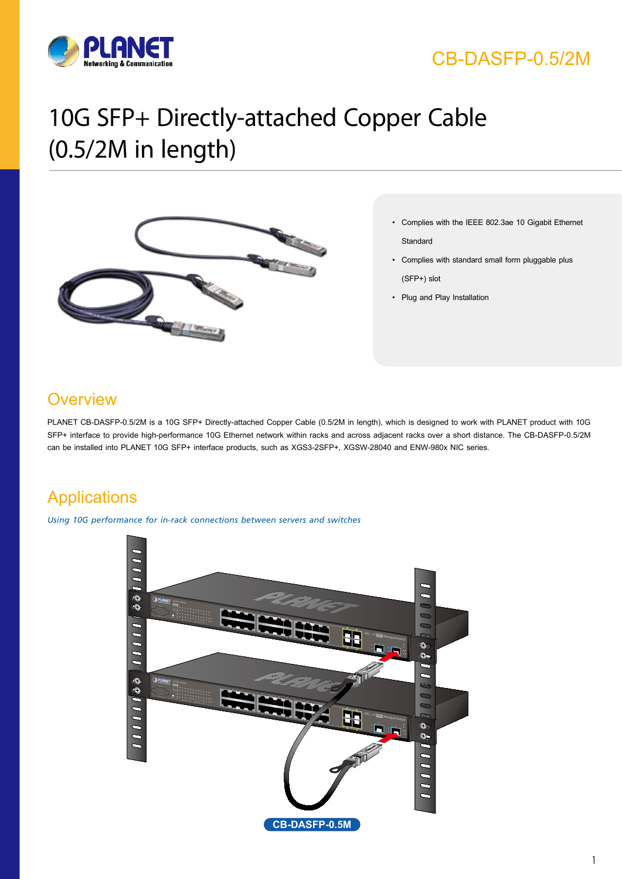

# CB-DASFP-0.5/2M

# 10G SFP+ Directly-attached Copper Cable (0.5/2M in length)



- **Key Features** • Complies with the IEEE 802.3ae 10 Gigabit Ethernet **Standard** 
	- • Complies with standard small form pluggable plus (SFP+) slot
	- • Plug and Play Installation

### **Overview**

PLANET CB-DASFP-0.5/2M is a 10G SFP+ Directly-attached Copper Cable (0.5/2M in length), which is designed to work with PLANET product with 10G SFP+ interface to provide high-performance 10G Ethernet network within racks and across adjacent racks over a short distance. The CB-DASFP-0.5/2M can be installed into PLANET 10G SFP+ interface products, such as XGS3-2SFP+, XGSW-28040 and ENW-980x NIC series.

# **Applications**

*Using 10G performance for in-rack connections between servers and switches*